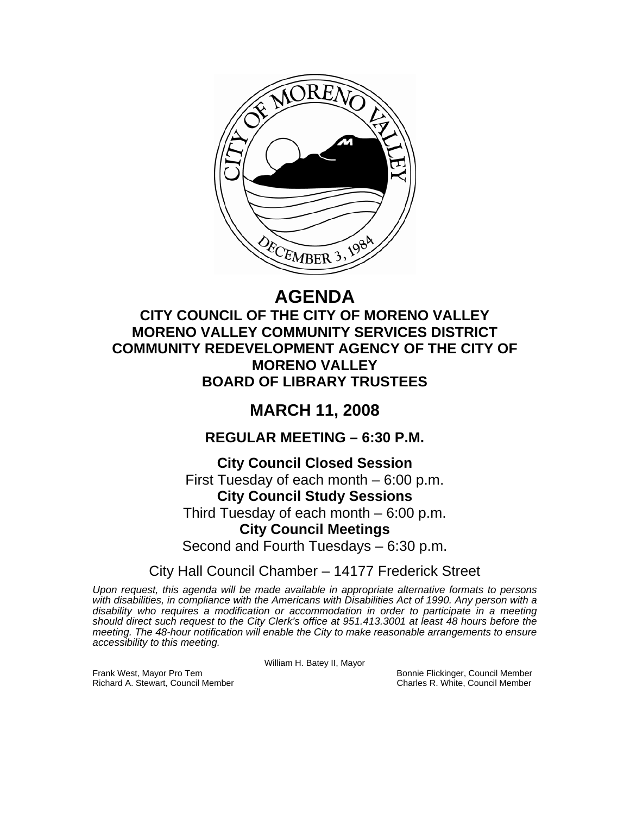

# **AGENDA**

### **CITY COUNCIL OF THE CITY OF MORENO VALLEY MORENO VALLEY COMMUNITY SERVICES DISTRICT COMMUNITY REDEVELOPMENT AGENCY OF THE CITY OF MORENO VALLEY BOARD OF LIBRARY TRUSTEES**

## **MARCH 11, 2008**

### **REGULAR MEETING – 6:30 P.M.**

**City Council Closed Session**  First Tuesday of each month – 6:00 p.m. **City Council Study Sessions**  Third Tuesday of each month – 6:00 p.m. **City Council Meetings**  Second and Fourth Tuesdays – 6:30 p.m.

City Hall Council Chamber – 14177 Frederick Street

*Upon request, this agenda will be made available in appropriate alternative formats to persons*  with disabilities, in compliance with the Americans with Disabilities Act of 1990. Any person with a *disability who requires a modification or accommodation in order to participate in a meeting should direct such request to the City Clerk's office at 951.413.3001 at least 48 hours before the meeting. The 48-hour notification will enable the City to make reasonable arrangements to ensure accessibility to this meeting.* 

William H. Batey II, Mayor

Frank West, Mayor Pro Tem Bonnie Flickinger, Council Member<br>Richard A. Stewart, Council Member **Bonnie Flickinger, Council Member** Richard A. Stewart, Council Member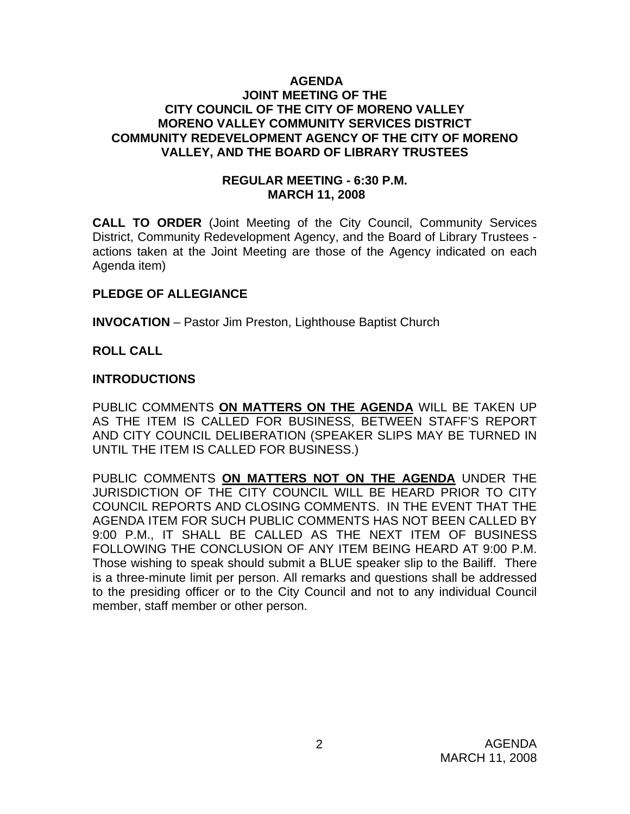#### **AGENDA JOINT MEETING OF THE CITY COUNCIL OF THE CITY OF MORENO VALLEY MORENO VALLEY COMMUNITY SERVICES DISTRICT COMMUNITY REDEVELOPMENT AGENCY OF THE CITY OF MORENO VALLEY, AND THE BOARD OF LIBRARY TRUSTEES**

### **REGULAR MEETING - 6:30 P.M. MARCH 11, 2008**

**CALL TO ORDER** (Joint Meeting of the City Council, Community Services District, Community Redevelopment Agency, and the Board of Library Trustees actions taken at the Joint Meeting are those of the Agency indicated on each Agenda item)

### **PLEDGE OF ALLEGIANCE**

**INVOCATION** – Pastor Jim Preston, Lighthouse Baptist Church

### **ROLL CALL**

### **INTRODUCTIONS**

PUBLIC COMMENTS **ON MATTERS ON THE AGENDA** WILL BE TAKEN UP AS THE ITEM IS CALLED FOR BUSINESS, BETWEEN STAFF'S REPORT AND CITY COUNCIL DELIBERATION (SPEAKER SLIPS MAY BE TURNED IN UNTIL THE ITEM IS CALLED FOR BUSINESS.)

PUBLIC COMMENTS **ON MATTERS NOT ON THE AGENDA** UNDER THE JURISDICTION OF THE CITY COUNCIL WILL BE HEARD PRIOR TO CITY COUNCIL REPORTS AND CLOSING COMMENTS. IN THE EVENT THAT THE AGENDA ITEM FOR SUCH PUBLIC COMMENTS HAS NOT BEEN CALLED BY 9:00 P.M., IT SHALL BE CALLED AS THE NEXT ITEM OF BUSINESS FOLLOWING THE CONCLUSION OF ANY ITEM BEING HEARD AT 9:00 P.M. Those wishing to speak should submit a BLUE speaker slip to the Bailiff. There is a three-minute limit per person. All remarks and questions shall be addressed to the presiding officer or to the City Council and not to any individual Council member, staff member or other person.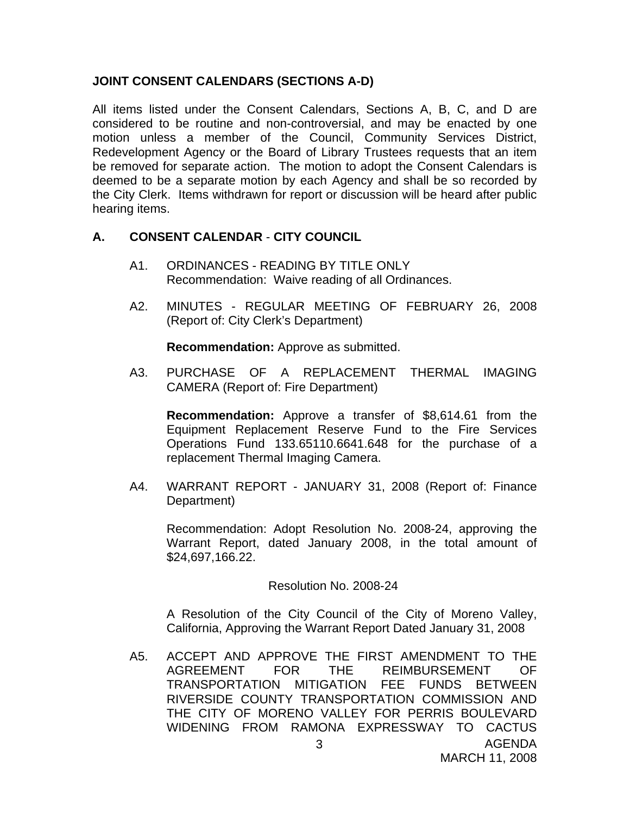### **JOINT CONSENT CALENDARS (SECTIONS A-D)**

All items listed under the Consent Calendars, Sections A, B, C, and D are considered to be routine and non-controversial, and may be enacted by one motion unless a member of the Council, Community Services District, Redevelopment Agency or the Board of Library Trustees requests that an item be removed for separate action. The motion to adopt the Consent Calendars is deemed to be a separate motion by each Agency and shall be so recorded by the City Clerk. Items withdrawn for report or discussion will be heard after public hearing items.

### **A. CONSENT CALENDAR** - **CITY COUNCIL**

- A1. ORDINANCES READING BY TITLE ONLY Recommendation: Waive reading of all Ordinances.
- A2. MINUTES REGULAR MEETING OF FEBRUARY 26, 2008 (Report of: City Clerk's Department)

**Recommendation:** Approve as submitted.

A3. PURCHASE OF A REPLACEMENT THERMAL IMAGING CAMERA (Report of: Fire Department)

**Recommendation:** Approve a transfer of \$8,614.61 from the Equipment Replacement Reserve Fund to the Fire Services Operations Fund 133.65110.6641.648 for the purchase of a replacement Thermal Imaging Camera.

A4. WARRANT REPORT - JANUARY 31, 2008 (Report of: Finance Department)

 Recommendation: Adopt Resolution No. 2008-24, approving the Warrant Report, dated January 2008, in the total amount of \$24,697,166.22.

Resolution No. 2008-24

A Resolution of the City Council of the City of Moreno Valley, California, Approving the Warrant Report Dated January 31, 2008

AGENDA 3 A5. ACCEPT AND APPROVE THE FIRST AMENDMENT TO THE AGREEMENT FOR THE REIMBURSEMENT OF TRANSPORTATION MITIGATION FEE FUNDS BETWEEN RIVERSIDE COUNTY TRANSPORTATION COMMISSION AND THE CITY OF MORENO VALLEY FOR PERRIS BOULEVARD WIDENING FROM RAMONA EXPRESSWAY TO CACTUS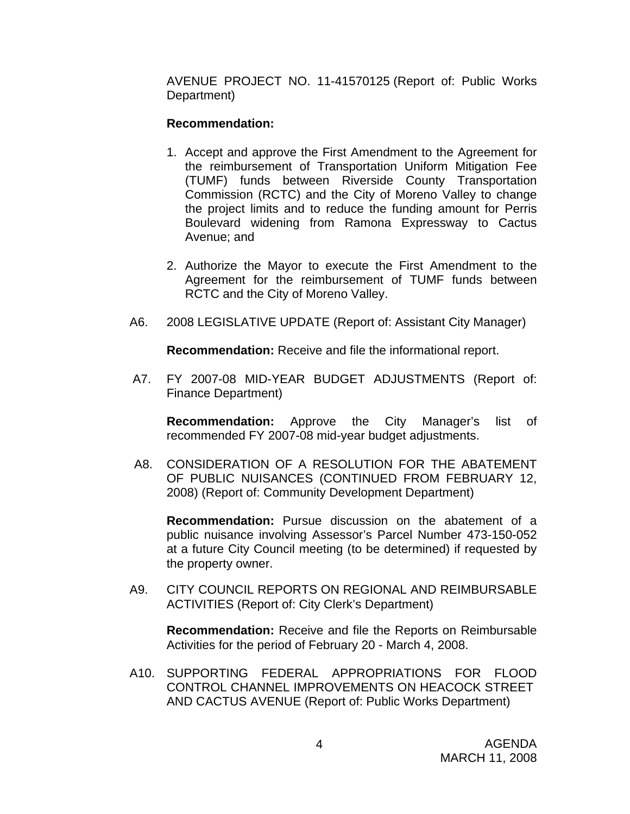AVENUE PROJECT NO. 11-41570125 (Report of: Public Works Department)

### **Recommendation:**

- 1. Accept and approve the First Amendment to the Agreement for the reimbursement of Transportation Uniform Mitigation Fee (TUMF) funds between Riverside County Transportation Commission (RCTC) and the City of Moreno Valley to change the project limits and to reduce the funding amount for Perris Boulevard widening from Ramona Expressway to Cactus Avenue; and
- 2. Authorize the Mayor to execute the First Amendment to the Agreement for the reimbursement of TUMF funds between RCTC and the City of Moreno Valley.
- A6. 2008 LEGISLATIVE UPDATE (Report of: Assistant City Manager)

**Recommendation:** Receive and file the informational report.

A7. FY 2007-08 MID-YEAR BUDGET ADJUSTMENTS (Report of: Finance Department)

**Recommendation:** Approve the City Manager's list of recommended FY 2007-08 mid-year budget adjustments.

A8. CONSIDERATION OF A RESOLUTION FOR THE ABATEMENT OF PUBLIC NUISANCES (CONTINUED FROM FEBRUARY 12, 2008) (Report of: Community Development Department)

**Recommendation:** Pursue discussion on the abatement of a public nuisance involving Assessor's Parcel Number 473-150-052 at a future City Council meeting (to be determined) if requested by the property owner.

A9. CITY COUNCIL REPORTS ON REGIONAL AND REIMBURSABLE ACTIVITIES (Report of: City Clerk's Department)

**Recommendation:** Receive and file the Reports on Reimbursable Activities for the period of February 20 - March 4, 2008.

A10. SUPPORTING FEDERAL APPROPRIATIONS FOR FLOOD CONTROL CHANNEL IMPROVEMENTS ON HEACOCK STREET AND CACTUS AVENUE (Report of: Public Works Department)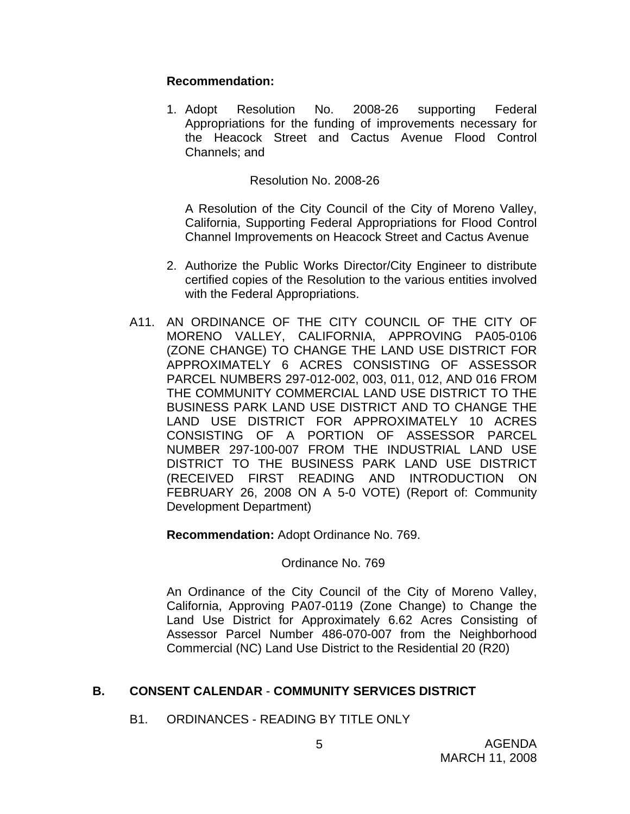### **Recommendation:**

1. Adopt Resolution No. 2008-26 supporting Federal Appropriations for the funding of improvements necessary for the Heacock Street and Cactus Avenue Flood Control Channels; and

### Resolution No. 2008-26

A Resolution of the City Council of the City of Moreno Valley, California, Supporting Federal Appropriations for Flood Control Channel Improvements on Heacock Street and Cactus Avenue

- 2. Authorize the Public Works Director/City Engineer to distribute certified copies of the Resolution to the various entities involved with the Federal Appropriations.
- A11. AN ORDINANCE OF THE CITY COUNCIL OF THE CITY OF MORENO VALLEY, CALIFORNIA, APPROVING PA05-0106 (ZONE CHANGE) TO CHANGE THE LAND USE DISTRICT FOR APPROXIMATELY 6 ACRES CONSISTING OF ASSESSOR PARCEL NUMBERS 297-012-002, 003, 011, 012, AND 016 FROM THE COMMUNITY COMMERCIAL LAND USE DISTRICT TO THE BUSINESS PARK LAND USE DISTRICT AND TO CHANGE THE LAND USE DISTRICT FOR APPROXIMATELY 10 ACRES CONSISTING OF A PORTION OF ASSESSOR PARCEL NUMBER 297-100-007 FROM THE INDUSTRIAL LAND USE DISTRICT TO THE BUSINESS PARK LAND USE DISTRICT (RECEIVED FIRST READING AND INTRODUCTION ON FEBRUARY 26, 2008 ON A 5-0 VOTE) (Report of: Community Development Department)

**Recommendation:** Adopt Ordinance No. 769.

### Ordinance No. 769

An Ordinance of the City Council of the City of Moreno Valley, California, Approving PA07-0119 (Zone Change) to Change the Land Use District for Approximately 6.62 Acres Consisting of Assessor Parcel Number 486-070-007 from the Neighborhood Commercial (NC) Land Use District to the Residential 20 (R20)

### **B. CONSENT CALENDAR** - **COMMUNITY SERVICES DISTRICT**

B1. ORDINANCES - READING BY TITLE ONLY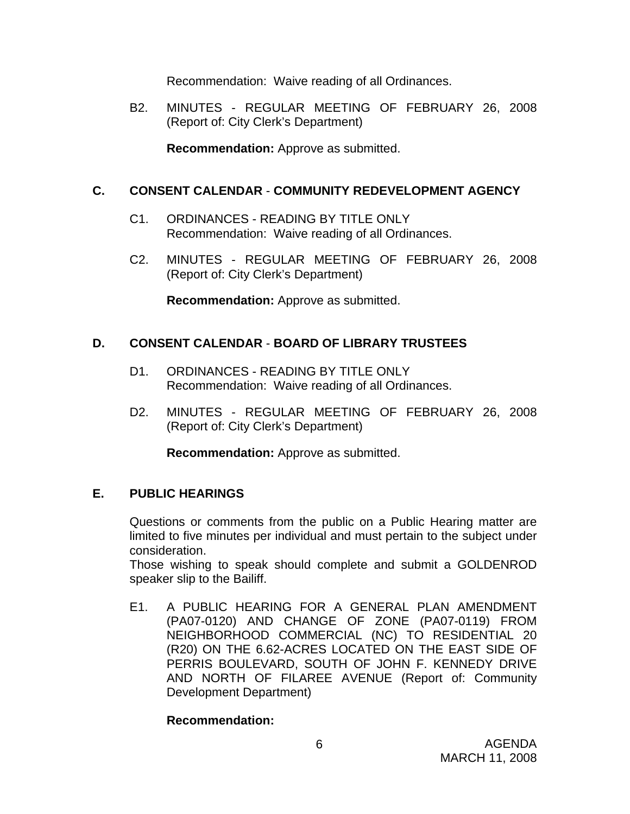Recommendation: Waive reading of all Ordinances.

B2. MINUTES - REGULAR MEETING OF FEBRUARY 26, 2008 (Report of: City Clerk's Department)

**Recommendation:** Approve as submitted.

### **C. CONSENT CALENDAR** - **COMMUNITY REDEVELOPMENT AGENCY**

- C1. ORDINANCES READING BY TITLE ONLY Recommendation: Waive reading of all Ordinances.
- C2. MINUTES REGULAR MEETING OF FEBRUARY 26, 2008 (Report of: City Clerk's Department)

**Recommendation:** Approve as submitted.

### **D. CONSENT CALENDAR** - **BOARD OF LIBRARY TRUSTEES**

- D1. ORDINANCES READING BY TITLE ONLY Recommendation: Waive reading of all Ordinances.
- D2. MINUTES REGULAR MEETING OF FEBRUARY 26, 2008 (Report of: City Clerk's Department)

**Recommendation:** Approve as submitted.

### **E. PUBLIC HEARINGS**

Questions or comments from the public on a Public Hearing matter are limited to five minutes per individual and must pertain to the subject under consideration.

 Those wishing to speak should complete and submit a GOLDENROD speaker slip to the Bailiff.

E1. A PUBLIC HEARING FOR A GENERAL PLAN AMENDMENT (PA07-0120) AND CHANGE OF ZONE (PA07-0119) FROM NEIGHBORHOOD COMMERCIAL (NC) TO RESIDENTIAL 20 (R20) ON THE 6.62-ACRES LOCATED ON THE EAST SIDE OF PERRIS BOULEVARD, SOUTH OF JOHN F. KENNEDY DRIVE AND NORTH OF FILAREE AVENUE (Report of: Community Development Department)

### **Recommendation:**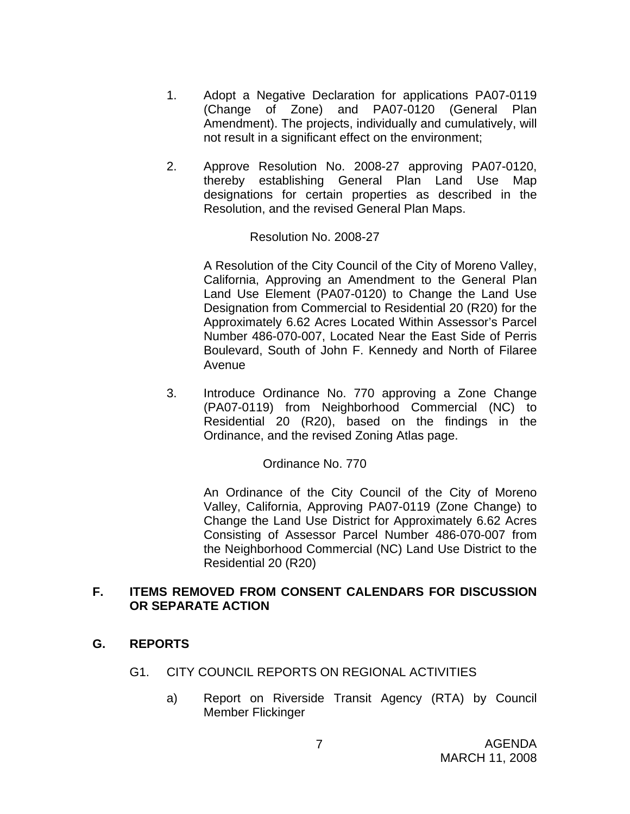- 1. Adopt a Negative Declaration for applications PA07-0119 (Change of Zone) and PA07-0120 (General Plan Amendment). The projects, individually and cumulatively, will not result in a significant effect on the environment;
- 2. Approve Resolution No. 2008-27 approving PA07-0120, thereby establishing General Plan Land Use Map designations for certain properties as described in the Resolution, and the revised General Plan Maps.

Resolution No. 2008-27

A Resolution of the City Council of the City of Moreno Valley, California, Approving an Amendment to the General Plan Land Use Element (PA07-0120) to Change the Land Use Designation from Commercial to Residential 20 (R20) for the Approximately 6.62 Acres Located Within Assessor's Parcel Number 486-070-007, Located Near the East Side of Perris Boulevard, South of John F. Kennedy and North of Filaree Avenue

3. Introduce Ordinance No. 770 approving a Zone Change (PA07-0119) from Neighborhood Commercial (NC) to Residential 20 (R20), based on the findings in the Ordinance, and the revised Zoning Atlas page.

Ordinance No. 770

An Ordinance of the City Council of the City of Moreno Valley, California, Approving PA07-0119 (Zone Change) to Change the Land Use District for Approximately 6.62 Acres Consisting of Assessor Parcel Number 486-070-007 from the Neighborhood Commercial (NC) Land Use District to the Residential 20 (R20)

### **F. ITEMS REMOVED FROM CONSENT CALENDARS FOR DISCUSSION OR SEPARATE ACTION**

### **G. REPORTS**

- G1. CITY COUNCIL REPORTS ON REGIONAL ACTIVITIES
	- a) Report on Riverside Transit Agency (RTA) by Council Member Flickinger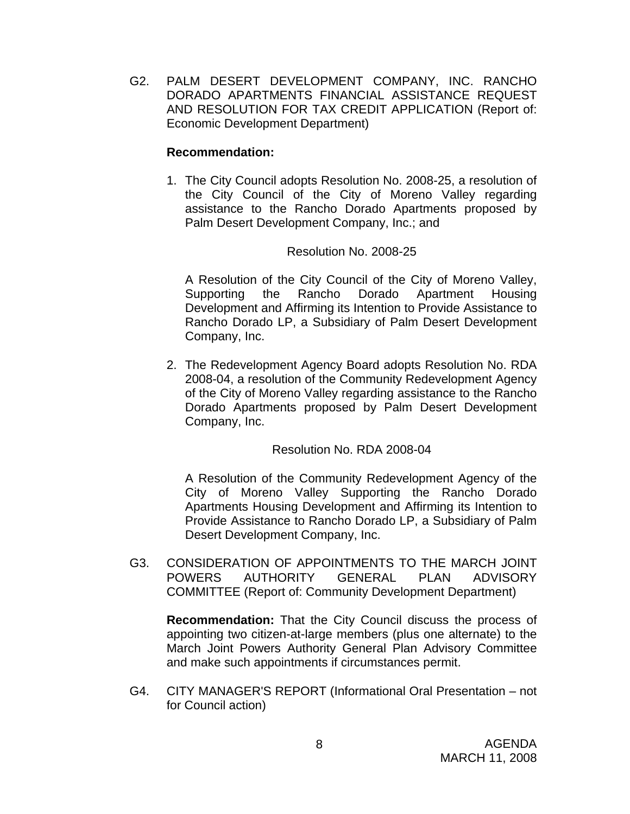G2. PALM DESERT DEVELOPMENT COMPANY, INC. RANCHO DORADO APARTMENTS FINANCIAL ASSISTANCE REQUEST AND RESOLUTION FOR TAX CREDIT APPLICATION (Report of: Economic Development Department)

### **Recommendation:**

1. The City Council adopts Resolution No. 2008-25, a resolution of the City Council of the City of Moreno Valley regarding assistance to the Rancho Dorado Apartments proposed by Palm Desert Development Company, Inc.; and

### Resolution No. 2008-25

A Resolution of the City Council of the City of Moreno Valley, Supporting the Rancho Dorado Apartment Housing Development and Affirming its Intention to Provide Assistance to Rancho Dorado LP, a Subsidiary of Palm Desert Development Company, Inc.

2. The Redevelopment Agency Board adopts Resolution No. RDA 2008-04, a resolution of the Community Redevelopment Agency of the City of Moreno Valley regarding assistance to the Rancho Dorado Apartments proposed by Palm Desert Development Company, Inc.

Resolution No. RDA 2008-04

A Resolution of the Community Redevelopment Agency of the City of Moreno Valley Supporting the Rancho Dorado Apartments Housing Development and Affirming its Intention to Provide Assistance to Rancho Dorado LP, a Subsidiary of Palm Desert Development Company, Inc.

G3. CONSIDERATION OF APPOINTMENTS TO THE MARCH JOINT POWERS AUTHORITY GENERAL PLAN ADVISORY COMMITTEE (Report of: Community Development Department)

**Recommendation:** That the City Council discuss the process of appointing two citizen-at-large members (plus one alternate) to the March Joint Powers Authority General Plan Advisory Committee and make such appointments if circumstances permit.

G4. CITY MANAGER'S REPORT (Informational Oral Presentation – not for Council action)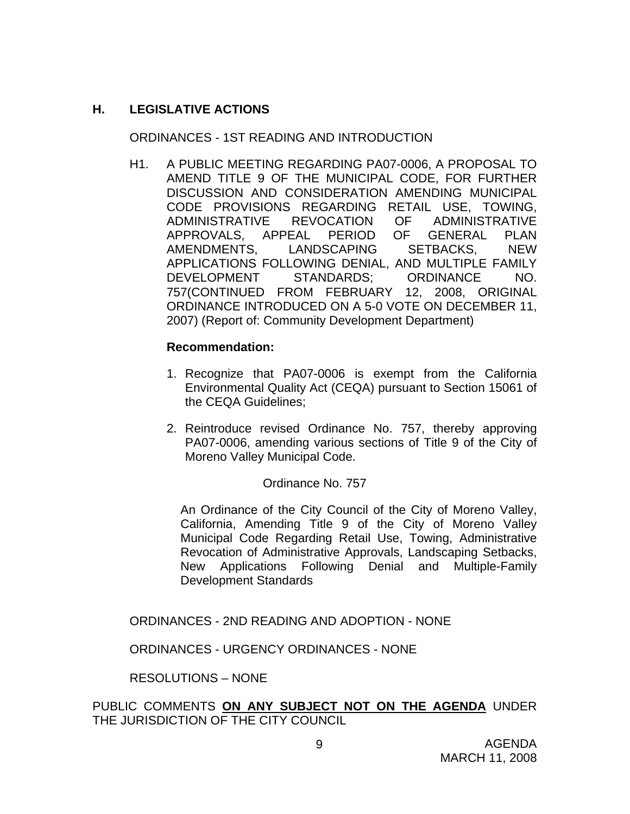### **H. LEGISLATIVE ACTIONS**

ORDINANCES - 1ST READING AND INTRODUCTION

H1. A PUBLIC MEETING REGARDING PA07-0006, A PROPOSAL TO AMEND TITLE 9 OF THE MUNICIPAL CODE, FOR FURTHER DISCUSSION AND CONSIDERATION AMENDING MUNICIPAL CODE PROVISIONS REGARDING RETAIL USE, TOWING, ADMINISTRATIVE REVOCATION OF ADMINISTRATIVE APPROVALS, APPEAL PERIOD OF GENERAL PLAN AMENDMENTS, LANDSCAPING SETBACKS, NEW APPLICATIONS FOLLOWING DENIAL, AND MULTIPLE FAMILY DEVELOPMENT STANDARDS; ORDINANCE NO. 757(CONTINUED FROM FEBRUARY 12, 2008, ORIGINAL ORDINANCE INTRODUCED ON A 5-0 VOTE ON DECEMBER 11, 2007) (Report of: Community Development Department)

### **Recommendation:**

- 1. Recognize that PA07-0006 is exempt from the California Environmental Quality Act (CEQA) pursuant to Section 15061 of the CEQA Guidelines;
- 2. Reintroduce revised Ordinance No. 757, thereby approving PA07-0006, amending various sections of Title 9 of the City of Moreno Valley Municipal Code.

### Ordinance No. 757

An Ordinance of the City Council of the City of Moreno Valley, California, Amending Title 9 of the City of Moreno Valley Municipal Code Regarding Retail Use, Towing, Administrative Revocation of Administrative Approvals, Landscaping Setbacks, New Applications Following Denial and Multiple-Family Development Standards

ORDINANCES - 2ND READING AND ADOPTION - NONE

ORDINANCES - URGENCY ORDINANCES - NONE

RESOLUTIONS – NONE

PUBLIC COMMENTS **ON ANY SUBJECT NOT ON THE AGENDA** UNDER THE JURISDICTION OF THE CITY COUNCIL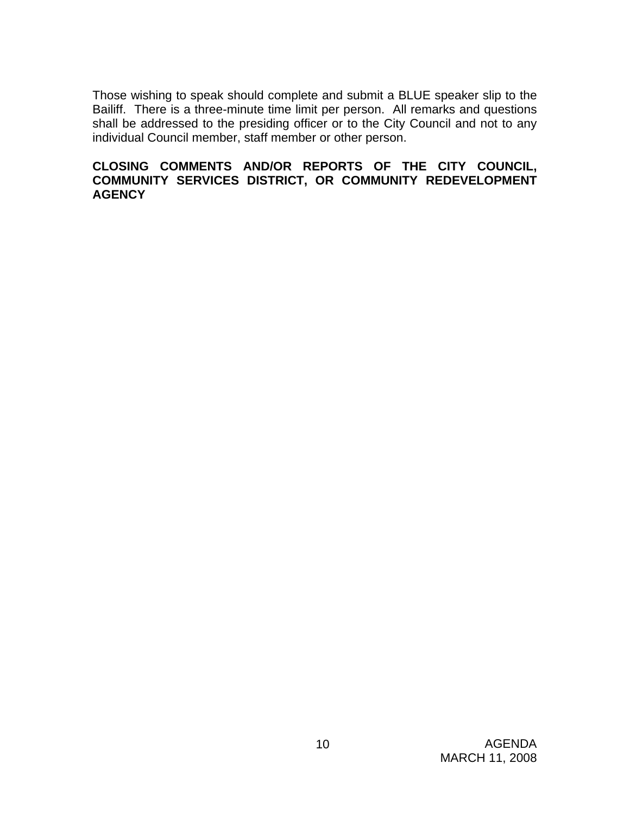Those wishing to speak should complete and submit a BLUE speaker slip to the Bailiff. There is a three-minute time limit per person. All remarks and questions shall be addressed to the presiding officer or to the City Council and not to any individual Council member, staff member or other person.

### **CLOSING COMMENTS AND/OR REPORTS OF THE CITY COUNCIL, COMMUNITY SERVICES DISTRICT, OR COMMUNITY REDEVELOPMENT AGENCY**